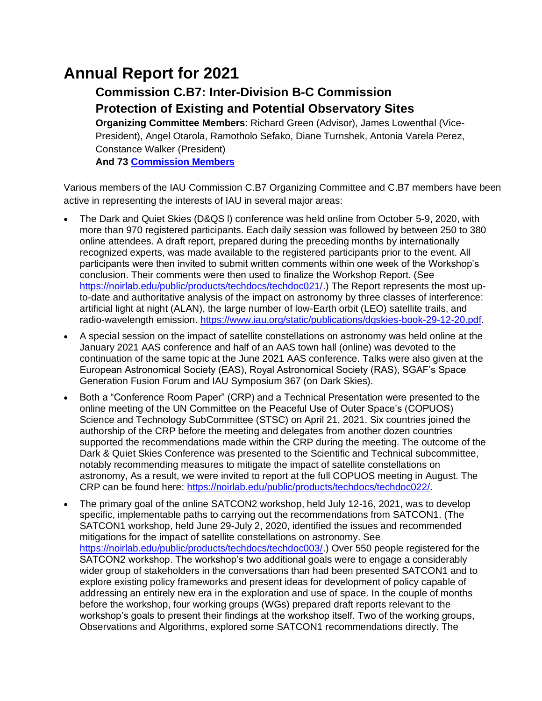# **Annual Report for 2021**

# **Commission C.B7: Inter-Division B-C Commission Protection of Existing and Potential Observatory Sites**

**Organizing Committee Members**: Richard Green (Advisor), James Lowenthal (Vice-President), Angel Otarola, Ramotholo Sefako, Diane Turnshek, Antonia Varela Perez, Constance Walker (President) **And 73 [Commission Members](https://www.iau.org/science/scientific_bodies/commissions/B7/members/)**

Various members of the IAU Commission C.B7 Organizing Committee and C.B7 members have been active in representing the interests of IAU in several major areas:

- The Dark and Quiet Skies (D&QS l) conference was held online from October 5-9, 2020, with more than 970 registered participants. Each daily session was followed by between 250 to 380 online attendees. A draft report, prepared during the preceding months by internationally recognized experts, was made available to the registered participants prior to the event. All participants were then invited to submit written comments within one week of the Workshop's conclusion. Their comments were then used to finalize the Workshop Report. (See [https://noirlab.edu/public/products/techdocs/techdoc021/.](https://noirlab.edu/public/products/techdocs/techdoc021/)) The Report represents the most upto-date and authoritative analysis of the impact on astronomy by three classes of interference: artificial light at night (ALAN), the large number of low-Earth orbit (LEO) satellite trails, and radio-wavelength emission. [https://www.iau.org/static/publications/dqskies-book-29-12-20.pdf.](https://www.iau.org/static/publications/dqskies-book-29-12-20.pdf)
- A special session on the impact of satellite constellations on astronomy was held online at the January 2021 AAS conference and half of an AAS town hall (online) was devoted to the continuation of the same topic at the June 2021 AAS conference. Talks were also given at the European Astronomical Society (EAS), Royal Astronomical Society (RAS), SGAF's Space Generation Fusion Forum and IAU Symposium 367 (on Dark Skies).
- Both a "Conference Room Paper" (CRP) and a Technical Presentation were presented to the online meeting of the UN Committee on the Peaceful Use of Outer Space's (COPUOS) Science and Technology SubCommittee (STSC) on April 21, 2021. Six countries joined the authorship of the CRP before the meeting and delegates from another dozen countries supported the recommendations made within the CRP during the meeting. The outcome of the Dark & Quiet Skies Conference was presented to the Scientific and Technical subcommittee, notably recommending measures to mitigate the impact of satellite constellations on astronomy, As a result, we were invited to report at the full COPUOS meeting in August. The CRP can be found here: [https://noirlab.edu/public/products/techdocs/techdoc022/.](https://noirlab.edu/public/products/techdocs/techdoc022/)
- The primary goal of the online SATCON2 workshop, held July 12-16, 2021, was to develop specific, implementable paths to carrying out the recommendations from SATCON1. (The SATCON1 workshop, held June 29-July 2, 2020, identified the issues and recommended mitigations for the impact of satellite constellations on astronomy. See [https://noirlab.edu/public/products/techdocs/techdoc003/.](https://noirlab.edu/public/products/techdocs/techdoc003/)) Over 550 people registered for the SATCON2 workshop. The workshop's two additional goals were to engage a considerably wider group of stakeholders in the conversations than had been presented SATCON1 and to explore existing policy frameworks and present ideas for development of policy capable of addressing an entirely new era in the exploration and use of space. In the couple of months before the workshop, four working groups (WGs) prepared draft reports relevant to the workshop's goals to present their findings at the workshop itself. Two of the working groups, Observations and Algorithms, explored some SATCON1 recommendations directly. The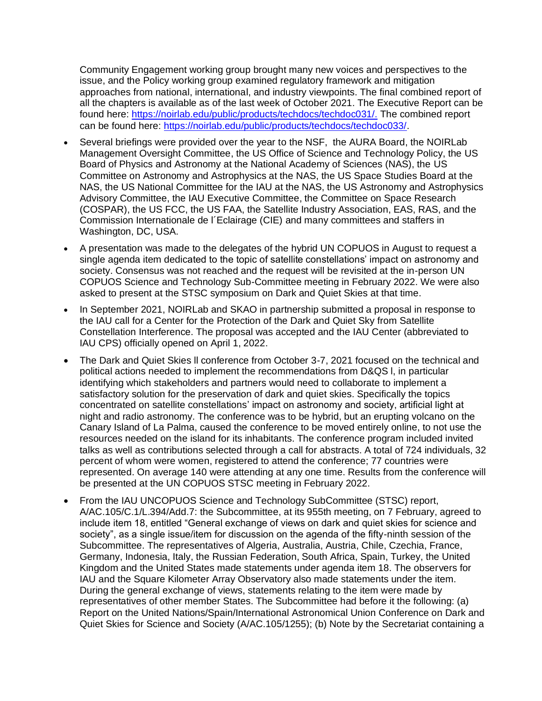Community Engagement working group brought many new voices and perspectives to the issue, and the Policy working group examined regulatory framework and mitigation approaches from national, international, and industry viewpoints. The final combined report of all the chapters is available as of the last week of October 2021. The Executive Report can be found here: [https://noirlab.edu/public/products/techdocs/techdoc031/.](https://noirlab.edu/public/products/techdocs/techdoc031/) The combined report can be found here: [https://noirlab.edu/public/products/techdocs/techdoc033/.](https://noirlab.edu/public/products/techdocs/techdoc033/)

- Several briefings were provided over the year to the NSF, the AURA Board, the NOIRLab Management Oversight Committee, the US Office of Science and Technology Policy, the US Board of Physics and Astronomy at the National Academy of Sciences (NAS), the US Committee on Astronomy and Astrophysics at the NAS, the US Space Studies Board at the NAS, the US National Committee for the IAU at the NAS, the US Astronomy and Astrophysics Advisory Committee, the IAU Executive Committee, the Committee on Space Research (COSPAR), the US FCC, the US FAA, the Satellite Industry Association, EAS, RAS, and the Commission Internationale de l´Eclairage (CIE) and many committees and staffers in Washington, DC, USA.
- A presentation was made to the delegates of the hybrid UN COPUOS in August to request a single agenda item dedicated to the topic of satellite constellations' impact on astronomy and society. Consensus was not reached and the request will be revisited at the in-person UN COPUOS Science and Technology Sub-Committee meeting in February 2022. We were also asked to present at the STSC symposium on Dark and Quiet Skies at that time.
- In September 2021, NOIRLab and SKAO in partnership submitted a proposal in response to the IAU call for a Center for the Protection of the Dark and Quiet Sky from Satellite Constellation Interference. The proposal was accepted and the IAU Center (abbreviated to IAU CPS) officially opened on April 1, 2022.
- The Dark and Quiet Skies ll conference from October 3-7, 2021 focused on the technical and political actions needed to implement the recommendations from D&QS l, in particular identifying which stakeholders and partners would need to collaborate to implement a satisfactory solution for the preservation of dark and quiet skies. Specifically the topics concentrated on satellite constellations' impact on astronomy and society, artificial light at night and radio astronomy. The conference was to be hybrid, but an erupting volcano on the Canary Island of La Palma, caused the conference to be moved entirely online, to not use the resources needed on the island for its inhabitants. The conference program included invited talks as well as contributions selected through a call for abstracts. A total of 724 individuals, 32 percent of whom were women, registered to attend the conference; 77 countries were represented. On average 140 were attending at any one time. Results from the conference will be presented at the UN COPUOS STSC meeting in February 2022.
- From the IAU UNCOPUOS Science and Technology SubCommittee (STSC) report, A/AC.105/C.1/L.394/Add.7: the Subcommittee, at its 955th meeting, on 7 February, agreed to include item 18, entitled "General exchange of views on dark and quiet skies for science and society", as a single issue/item for discussion on the agenda of the fifty-ninth session of the Subcommittee. The representatives of Algeria, Australia, Austria, Chile, Czechia, France, Germany, Indonesia, Italy, the Russian Federation, South Africa, Spain, Turkey, the United Kingdom and the United States made statements under agenda item 18. The observers for IAU and the Square Kilometer Array Observatory also made statements under the item. During the general exchange of views, statements relating to the item were made by representatives of other member States. The Subcommittee had before it the following: (a) Report on the United Nations/Spain/International Astronomical Union Conference on Dark and Quiet Skies for Science and Society (A/AC.105/1255); (b) Note by the Secretariat containing a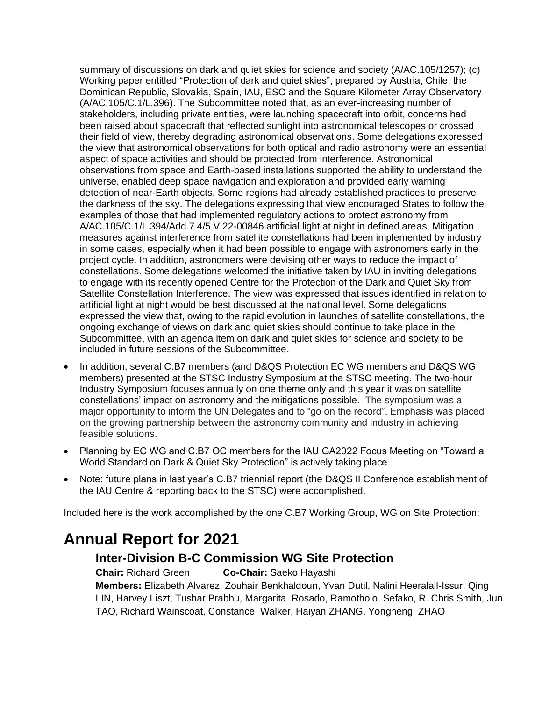summary of discussions on dark and quiet skies for science and society (A/AC.105/1257); (c) Working paper entitled "Protection of dark and quiet skies", prepared by Austria, Chile, the Dominican Republic, Slovakia, Spain, IAU, ESO and the Square Kilometer Array Observatory (A/AC.105/C.1/L.396). The Subcommittee noted that, as an ever-increasing number of stakeholders, including private entities, were launching spacecraft into orbit, concerns had been raised about spacecraft that reflected sunlight into astronomical telescopes or crossed their field of view, thereby degrading astronomical observations. Some delegations expressed the view that astronomical observations for both optical and radio astronomy were an essential aspect of space activities and should be protected from interference. Astronomical observations from space and Earth-based installations supported the ability to understand the universe, enabled deep space navigation and exploration and provided early warning detection of near-Earth objects. Some regions had already established practices to preserve the darkness of the sky. The delegations expressing that view encouraged States to follow the examples of those that had implemented regulatory actions to protect astronomy from A/AC.105/C.1/L.394/Add.7 4/5 V.22-00846 artificial light at night in defined areas. Mitigation measures against interference from satellite constellations had been implemented by industry in some cases, especially when it had been possible to engage with astronomers early in the project cycle. In addition, astronomers were devising other ways to reduce the impact of constellations. Some delegations welcomed the initiative taken by IAU in inviting delegations to engage with its recently opened Centre for the Protection of the Dark and Quiet Sky from Satellite Constellation Interference. The view was expressed that issues identified in relation to artificial light at night would be best discussed at the national level. Some delegations expressed the view that, owing to the rapid evolution in launches of satellite constellations, the ongoing exchange of views on dark and quiet skies should continue to take place in the Subcommittee, with an agenda item on dark and quiet skies for science and society to be included in future sessions of the Subcommittee.

- In addition, several C.B7 members (and D&QS Protection EC WG members and D&QS WG members) presented at the STSC Industry Symposium at the STSC meeting. The two-hour Industry Symposium focuses annually on one theme only and this year it was on satellite constellations' impact on astronomy and the mitigations possible. The symposium was a major opportunity to inform the UN Delegates and to "go on the record". Emphasis was placed on the growing partnership between the astronomy community and industry in achieving feasible solutions.
- Planning by EC WG and C.B7 OC members for the IAU GA2022 Focus Meeting on "Toward a World Standard on Dark & Quiet Sky Protection" is actively taking place.
- Note: future plans in last year's C.B7 triennial report (the D&QS II Conference establishment of the IAU Centre & reporting back to the STSC) were accomplished.

Included here is the work accomplished by the one C.B7 Working Group, WG on Site Protection:

# **Annual Report for 2021**

## **Inter-Division B-C Commission WG Site Protection**

**Chair:** Richard Green **Co-Chair:** Saeko Hayashi **Members:** Elizabeth Alvarez, Zouhair Benkhaldoun, Yvan Dutil, Nalini Heeralall-Issur, Qing LIN, Harvey Liszt, Tushar Prabhu, Margarita Rosado, Ramotholo Sefako, R. Chris Smith, Jun TAO, Richard Wainscoat, Constance Walker, Haiyan ZHANG, Yongheng ZHAO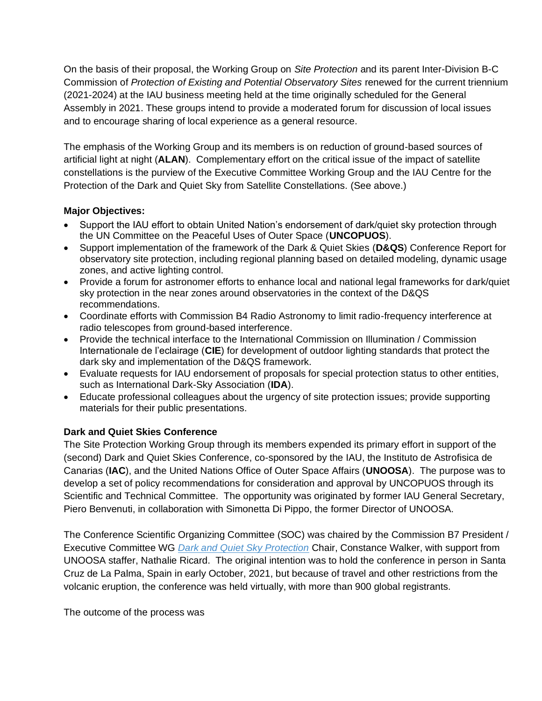On the basis of their proposal, the Working Group on *Site Protection* and its parent Inter-Division B-C Commission of *Protection of Existing and Potential Observatory Sites* renewed for the current triennium (2021-2024) at the IAU business meeting held at the time originally scheduled for the General Assembly in 2021. These groups intend to provide a moderated forum for discussion of local issues and to encourage sharing of local experience as a general resource.

The emphasis of the Working Group and its members is on reduction of ground-based sources of artificial light at night (**ALAN**). Complementary effort on the critical issue of the impact of satellite constellations is the purview of the Executive Committee Working Group and the IAU Centre for the Protection of the Dark and Quiet Sky from Satellite Constellations. (See above.)

### **Major Objectives:**

- Support the IAU effort to obtain United Nation's endorsement of dark/quiet sky protection through the UN Committee on the Peaceful Uses of Outer Space (**UNCOPUOS**).
- Support implementation of the framework of the Dark & Quiet Skies (**D&QS**) Conference Report for observatory site protection, including regional planning based on detailed modeling, dynamic usage zones, and active lighting control.
- Provide a forum for astronomer efforts to enhance local and national legal frameworks for dark/quiet sky protection in the near zones around observatories in the context of the D&QS recommendations.
- Coordinate efforts with Commission B4 Radio Astronomy to limit radio-frequency interference at radio telescopes from ground-based interference.
- Provide the technical interface to the International Commission on Illumination / Commission Internationale de l'eclairage (**CIE**) for development of outdoor lighting standards that protect the dark sky and implementation of the D&QS framework.
- Evaluate requests for IAU endorsement of proposals for special protection status to other entities, such as International Dark-Sky Association (**IDA**).
- Educate professional colleagues about the urgency of site protection issues; provide supporting materials for their public presentations.

#### **Dark and Quiet Skies Conference**

The Site Protection Working Group through its members expended its primary effort in support of the (second) Dark and Quiet Skies Conference, co-sponsored by the IAU, the Instituto de Astrofisica de Canarias (**IAC**), and the United Nations Office of Outer Space Affairs (**UNOOSA**). The purpose was to develop a set of policy recommendations for consideration and approval by UNCOPUOS through its Scientific and Technical Committee. The opportunity was originated by former IAU General Secretary, Piero Benvenuti, in collaboration with Simonetta Di Pippo, the former Director of UNOOSA.

The Conference Scientific Organizing Committee (SOC) was chaired by the Commission B7 President / Executive Committee WG *[Dark and Quiet Sky Protection](https://www.iau.org/science/scientific_bodies/working_groups/286/)* Chair, Constance Walker, with support from UNOOSA staffer, Nathalie Ricard. The original intention was to hold the conference in person in Santa Cruz de La Palma, Spain in early October, 2021, but because of travel and other restrictions from the volcanic eruption, the conference was held virtually, with more than 900 global registrants.

The outcome of the process was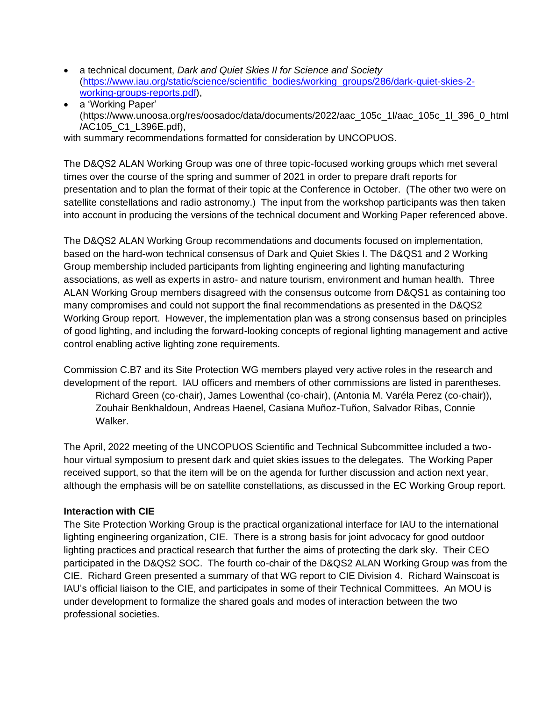- a technical document, *Dark and Quiet Skies II for Science and Society*  [\(https://www.iau.org/static/science/scientific\\_bodies/working\\_groups/286/dark-quiet-skies-2](https://www.iau.org/static/science/scientific_bodies/working_groups/286/dark-quiet-skies-2-working-groups-reports.pdf) [working-groups-reports.pdf\)](https://www.iau.org/static/science/scientific_bodies/working_groups/286/dark-quiet-skies-2-working-groups-reports.pdf),
- a 'Working Paper' (https://www.unoosa.org/res/oosadoc/data/documents/2022/aac\_105c\_1l/aac\_105c\_1l\_396\_0\_html /AC105\_C1\_L396E.pdf),

with summary recommendations formatted for consideration by UNCOPUOS.

The D&QS2 ALAN Working Group was one of three topic-focused working groups which met several times over the course of the spring and summer of 2021 in order to prepare draft reports for presentation and to plan the format of their topic at the Conference in October. (The other two were on satellite constellations and radio astronomy.) The input from the workshop participants was then taken into account in producing the versions of the technical document and Working Paper referenced above.

The D&QS2 ALAN Working Group recommendations and documents focused on implementation, based on the hard-won technical consensus of Dark and Quiet Skies I. The D&QS1 and 2 Working Group membership included participants from lighting engineering and lighting manufacturing associations, as well as experts in astro- and nature tourism, environment and human health. Three ALAN Working Group members disagreed with the consensus outcome from D&QS1 as containing too many compromises and could not support the final recommendations as presented in the D&QS2 Working Group report. However, the implementation plan was a strong consensus based on principles of good lighting, and including the forward-looking concepts of regional lighting management and active control enabling active lighting zone requirements.

Commission C.B7 and its Site Protection WG members played very active roles in the research and development of the report. IAU officers and members of other commissions are listed in parentheses. Richard Green (co-chair), James Lowenthal (co-chair), (Antonia M. Varéla Perez (co-chair)), Zouhair Benkhaldoun, Andreas Haenel, Casiana Muñoz-Tuñon, Salvador Ribas, Connie Walker.

The April, 2022 meeting of the UNCOPUOS Scientific and Technical Subcommittee included a twohour virtual symposium to present dark and quiet skies issues to the delegates. The Working Paper received support, so that the item will be on the agenda for further discussion and action next year, although the emphasis will be on satellite constellations, as discussed in the EC Working Group report.

### **Interaction with CIE**

The Site Protection Working Group is the practical organizational interface for IAU to the international lighting engineering organization, CIE. There is a strong basis for joint advocacy for good outdoor lighting practices and practical research that further the aims of protecting the dark sky. Their CEO participated in the D&QS2 SOC. The fourth co-chair of the D&QS2 ALAN Working Group was from the CIE. Richard Green presented a summary of that WG report to CIE Division 4. Richard Wainscoat is IAU's official liaison to the CIE, and participates in some of their Technical Committees. An MOU is under development to formalize the shared goals and modes of interaction between the two professional societies.